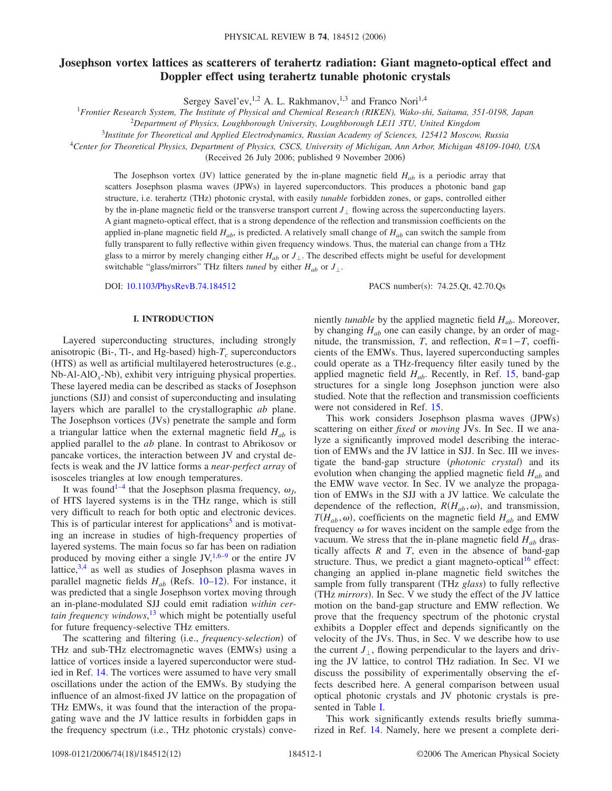# **Josephson vortex lattices as scatterers of terahertz radiation: Giant magneto-optical effect and Doppler effect using terahertz tunable photonic crystals**

Sergey Savel'ev, <sup>1,2</sup> A. L. Rakhmanov, <sup>1,3</sup> and Franco Nori<sup>1,4</sup>

<sup>1</sup>*Frontier Research System, The Institute of Physical and Chemical Research (RIKEN), Wako-shi, Saitama, 351-0198, Japan*

2 *Department of Physics, Loughborough University, Loughborough LE11 3TU, United Kingdom*

<sup>3</sup>*Institute for Theoretical and Applied Electrodynamics, Russian Academy of Sciences, 125412 Moscow, Russia*

<sup>4</sup>*Center for Theoretical Physics, Department of Physics, CSCS, University of Michigan, Ann Arbor, Michigan 48109-1040, USA*

(Received 26 July 2006; published 9 November 2006)

The Josephson vortex (JV) lattice generated by the in-plane magnetic field  $H_{ab}$  is a periodic array that scatters Josephson plasma waves (JPWs) in layered superconductors. This produces a photonic band gap structure, i.e. terahertz (THz) photonic crystal, with easily *tunable* forbidden zones, or gaps, controlled either by the in-plane magnetic field or the transverse transport current  $J_{\perp}$  flowing across the superconducting layers. A giant magneto-optical effect, that is a strong dependence of the reflection and transmission coefficients on the applied in-plane magnetic field *Hab*, is predicted. A relatively small change of *Hab* can switch the sample from fully transparent to fully reflective within given frequency windows. Thus, the material can change from a THz glass to a mirror by merely changing either  $H_{ab}$  or  $J_{\perp}$ . The described effects might be useful for development switchable "glass/mirrors" THz filters *tuned* by either  $H_{ab}$  or  $J_{\perp}$ .

DOI: [10.1103/PhysRevB.74.184512](http://dx.doi.org/10.1103/PhysRevB.74.184512)

PACS number(s): 74.25.Qt, 42.70.Qs

## **I. INTRODUCTION**

Layered superconducting structures, including strongly anisotropic (Bi-, Tl-, and Hg-based) high- $T_c$  superconductors (HTS) as well as artificial multilayered heterostructures (e.g., Nb-Al-AlO<sub>x</sub>-Nb), exhibit very intriguing physical properties. These layered media can be described as stacks of Josephson junctions (SJJ) and consist of superconducting and insulating layers which are parallel to the crystallographic *ab* plane. The Josephson vortices (JVs) penetrate the sample and form a triangular lattice when the external magnetic field  $H_{ab}$  is applied parallel to the *ab* plane. In contrast to Abrikosov or pancake vortices, the interaction between JV and crystal defects is weak and the JV lattice forms a *near-perfect array* of isosceles triangles at low enough temperatures.

It was found<sup>1-[4](#page-10-1)</sup> that the Josephson plasma frequency,  $\omega_j$ , of HTS layered systems is in the THz range, which is still very difficult to reach for both optic and electronic devices. This is of particular interest for applications<sup>3</sup> and is motivating an increase in studies of high-frequency properties of layered systems. The main focus so far has been on radiation produced by moving either a single  $JV$ ,  $1,6-9$  $1,6-9$  $1,6-9$  or the entire JV lattice, $3,4$  $3,4$  as well as studies of Josephson plasma waves in parallel magnetic fields  $H_{ab}$  (Refs. [10–](#page-10-6)[12](#page-10-7)). For instance, it was predicted that a single Josephson vortex moving through an in-plane-modulated SJJ could emit radiation *within certain frequency windows*, [13](#page-10-8) which might be potentially useful for future frequency-selective THz emitters.

The scattering and filtering (i.e., *frequency-selection*) of THz and sub-THz electromagnetic waves (EMWs) using a lattice of vortices inside a layered superconductor were studied in Ref. [14.](#page-10-9) The vortices were assumed to have very small oscillations under the action of the EMWs. By studying the influence of an almost-fixed JV lattice on the propagation of THz EMWs, it was found that the interaction of the propagating wave and the JV lattice results in forbidden gaps in the frequency spectrum (i.e., THz photonic crystals) conveniently *tunable* by the applied magnetic field *Hab*. Moreover, by changing  $H_{ab}$  one can easily change, by an order of magnitude, the transmission, *T*, and reflection, *R*=1−*T*, coefficients of the EMWs. Thus, layered superconducting samples could operate as a THz-frequency filter easily tuned by the applied magnetic field  $H_{ab}$ . Recently, in Ref. [15,](#page-10-10) band-gap structures for a single long Josephson junction were also studied. Note that the reflection and transmission coefficients were not considered in Ref. [15.](#page-10-10)

This work considers Josephson plasma waves (JPWs) scattering on either *fixed* or *moving* JVs. In Sec. II we analyze a significantly improved model describing the interaction of EMWs and the JV lattice in SJJ. In Sec. III we investigate the band-gap structure (photonic crystal) and its evolution when changing the applied magnetic field *Hab* and the EMW wave vector. In Sec. IV we analyze the propagation of EMWs in the SJJ with a JV lattice. We calculate the dependence of the reflection,  $R(H_{ab}, \omega)$ , and transmission,  $T(H_{ab}, \omega)$ , coefficients on the magnetic field  $H_{ab}$  and EMW frequency  $\omega$  for waves incident on the sample edge from the vacuum. We stress that the in-plane magnetic field  $H_{ab}$  drastically affects *R* and *T*, even in the absence of band-gap structure. Thus, we predict a giant magneto-optical<sup>16</sup> effect: changing an applied in-plane magnetic field switches the sample from fully transparent (THz glass) to fully reflective (THz *mirrors*). In Sec. V we study the effect of the JV lattice motion on the band-gap structure and EMW reflection. We prove that the frequency spectrum of the photonic crystal exhibits a Doppler effect and depends significantly on the velocity of the JVs. Thus, in Sec. V we describe how to use the current  $J_{\perp}$ , flowing perpendicular to the layers and driving the JV lattice, to control THz radiation. In Sec. VI we discuss the possibility of experimentally observing the effects described here. A general comparison between usual optical photonic crystals and JV photonic crystals is presented in Table [I.](#page-1-0)

This work significantly extends results briefly summarized in Ref. [14.](#page-10-9) Namely, here we present a complete deri-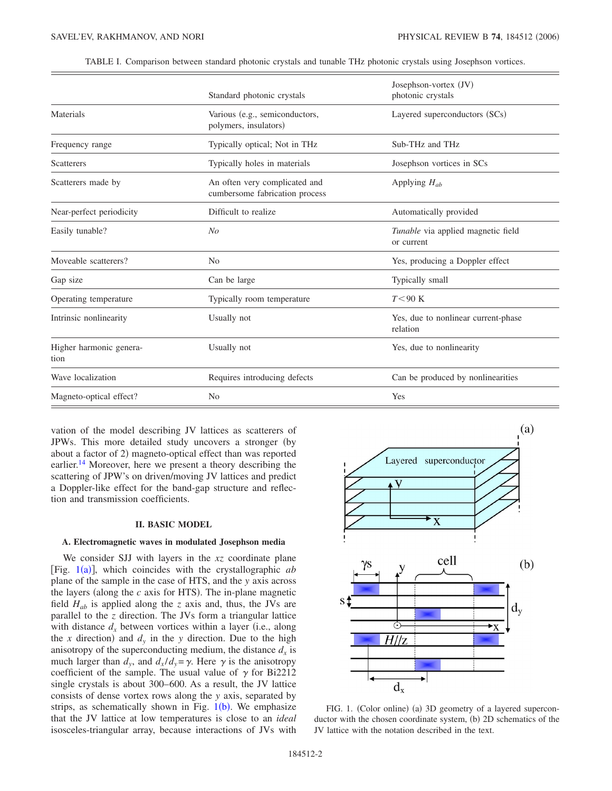| TABLE I. Comparison between standard photonic crystals and tunable THz photonic crystals using Josephson vortices. |  |  |
|--------------------------------------------------------------------------------------------------------------------|--|--|
|                                                                                                                    |  |  |

<span id="page-1-0"></span>

|                                 | Standard photonic crystals                                                               | Josephson-vortex (JV)<br>photonic crystals       |  |
|---------------------------------|------------------------------------------------------------------------------------------|--------------------------------------------------|--|
| Materials                       | Various (e.g., semiconductors,<br>Layered superconductors (SCs)<br>polymers, insulators) |                                                  |  |
| Frequency range                 | Typically optical; Not in THz<br>Sub-THz and THz                                         |                                                  |  |
| <b>Scatterers</b>               | Typically holes in materials<br>Josephson vortices in SCs                                |                                                  |  |
| Scatterers made by              | An often very complicated and<br>Applying $H_{ab}$<br>cumbersome fabrication process     |                                                  |  |
| Near-perfect periodicity        | Difficult to realize                                                                     | Automatically provided                           |  |
| Easily tunable?                 | No                                                                                       | Tunable via applied magnetic field<br>or current |  |
| Moveable scatterers?            | N <sub>0</sub>                                                                           | Yes, producing a Doppler effect                  |  |
| Gap size                        | Can be large                                                                             | Typically small                                  |  |
| Operating temperature           | Typically room temperature                                                               | $T<90$ K                                         |  |
| Intrinsic nonlinearity          | Usually not                                                                              | Yes, due to nonlinear current-phase<br>relation  |  |
| Higher harmonic genera-<br>tion | Usually not                                                                              | Yes, due to nonlinearity                         |  |
| Wave localization               | Requires introducing defects<br>Can be produced by nonlinearities                        |                                                  |  |
| Magneto-optical effect?         | Yes<br>N <sub>0</sub>                                                                    |                                                  |  |

vation of the model describing JV lattices as scatterers of JPWs. This more detailed study uncovers a stronger (by about a factor of 2) magneto-optical effect than was reported earlier.<sup>14</sup> Moreover, here we present a theory describing the scattering of JPW's on driven/moving JV lattices and predict a Doppler-like effect for the band-gap structure and reflection and transmission coefficients.

### **II. BASIC MODEL**

## **A. Electromagnetic waves in modulated Josephson media**

We consider SJJ with layers in the *xz* coordinate plane [Fig.  $1(a)$  $1(a)$ ], which coincides with the crystallographic *ab* plane of the sample in the case of HTS, and the *y* axis across the layers (along the  $c$  axis for HTS). The in-plane magnetic field  $H_{ab}$  is applied along the *z* axis and, thus, the JVs are parallel to the *z* direction. The JVs form a triangular lattice with distance  $d_x$  between vortices within a layer (i.e., along the *x* direction) and  $d_y$  in the *y* direction. Due to the high anisotropy of the superconducting medium, the distance  $d_x$  is much larger than  $d_y$ , and  $d_x/d_y = \gamma$ . Here  $\gamma$  is the anisotropy coefficient of the sample. The usual value of  $\gamma$  for Bi2212 single crystals is about 300–600. As a result, the JV lattice consists of dense vortex rows along the *y* axis, separated by strips, as schematically shown in Fig.  $1(b)$  $1(b)$ . We emphasize that the JV lattice at low temperatures is close to an *ideal* isosceles-triangular array, because interactions of JVs with

<span id="page-1-1"></span>

FIG. 1. (Color online) (a) 3D geometry of a layered superconductor with the chosen coordinate system, (b) 2D schematics of the JV lattice with the notation described in the text.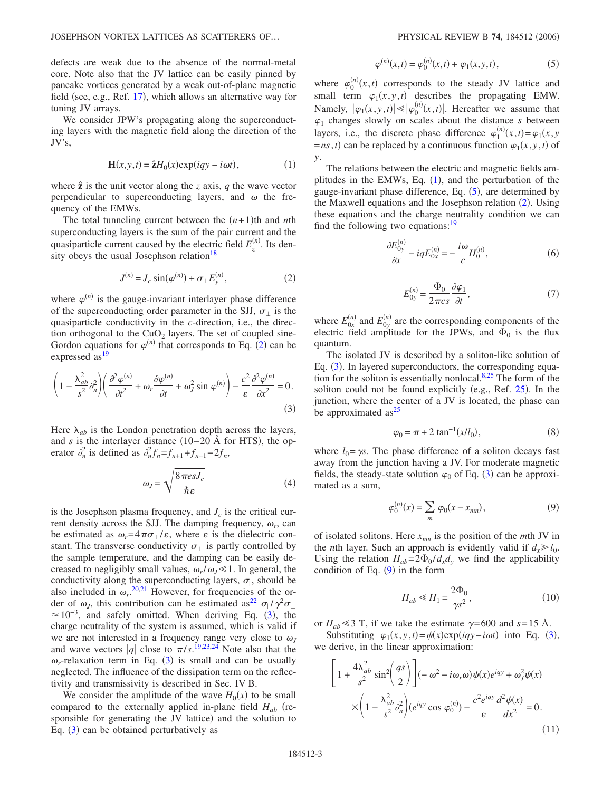defects are weak due to the absence of the normal-metal core. Note also that the JV lattice can be easily pinned by pancake vortices generated by a weak out-of-plane magnetic field (see, e.g., Ref. [17](#page-10-12)), which allows an alternative way for tuning JV arrays.

We consider JPW's propagating along the superconducting layers with the magnetic field along the direction of the JV's,

$$
\mathbf{H}(x, y, t) = \hat{\mathbf{z}} H_0(x) \exp(iqy - i\omega t), \tag{1}
$$

<span id="page-2-2"></span>where  $\hat{z}$  is the unit vector along the *z* axis, *q* the wave vector perpendicular to superconducting layers, and  $\omega$  the frequency of the EMWs.

The total tunneling current between the  $(n+1)$ <sup>th</sup> and *n*<sup>th</sup> superconducting layers is the sum of the pair current and the quasiparticle current caused by the electric field  $E_z^{(n)}$ . Its density obeys the usual Josephson relation<sup>18</sup>

$$
J^{(n)} = J_c \sin(\varphi^{(n)}) + \sigma_{\perp} E_y^{(n)},
$$
 (2)

<span id="page-2-0"></span>where  $\varphi^{(n)}$  is the gauge-invariant interlayer phase difference of the superconducting order parameter in the SJJ,  $\sigma_{\perp}$  is the quasiparticle conductivity in the *c*-direction, i.e., the direction orthogonal to the  $CuO<sub>2</sub>$  layers. The set of coupled sine-Gordon equations for  $\varphi^{(n)}$  that corresponds to Eq. ([2](#page-2-0)) can be expressed as<sup>19</sup>

<span id="page-2-1"></span>
$$
\left(1 - \frac{\lambda_{ab}^2}{s^2} \partial_n^2\right) \left(\frac{\partial^2 \varphi^{(n)}}{\partial t^2} + \omega_r \frac{\partial \varphi^{(n)}}{\partial t} + \omega_J^2 \sin \varphi^{(n)}\right) - \frac{c^2}{\varepsilon} \frac{\partial^2 \varphi^{(n)}}{\partial x^2} = 0.
$$
\n(3)

Here  $\lambda_{ab}$  is the London penetration depth across the layers, and *s* is the interlayer distance  $(10-20 \text{ Å}$  for HTS), the operator  $\partial_n^2$  is defined as  $\partial_n^2 f_n = f_{n+1} + f_{n-1} - 2f_n$ ,

$$
\omega_J = \sqrt{\frac{8 \pi e s J_c}{\hbar \varepsilon}} \tag{4}
$$

is the Josephson plasma frequency, and  $J_c$  is the critical current density across the SJJ. The damping frequency,  $\omega_r$ , can be estimated as  $\omega_r = 4 \pi \sigma / \varepsilon$ , where  $\varepsilon$  is the dielectric constant. The transverse conductivity  $\sigma_{\perp}$  is partly controlled by the sample temperature, and the damping can be easily decreased to negligibly small values,  $\omega_r/\omega_J \ll 1$ . In general, the conductivity along the superconducting layers,  $\sigma_{\parallel}$ , should be also included in  $\omega_r$ <sup>[20,](#page-10-14)[21](#page-10-15)</sup> However, for frequencies of the order of  $\omega_j$ , this contribution can be estimated as<sup>22</sup>  $\sigma_{\parallel}/\gamma^2 \sigma_{\perp}$  $\approx 10^{-3}$  $\approx 10^{-3}$  $\approx 10^{-3}$ , and safely omitted. When deriving Eq. (3), the charge neutrality of the system is assumed, which is valid if we are not interested in a frequency range very close to  $\omega_J$ and wave vectors |q| close to  $\pi/s$ .<sup>[19](#page-10-13)[,23,](#page-11-0)[24](#page-11-1)</sup> Note also that the  $\omega_r$ -relaxation term in Eq. ([3](#page-2-1)) is small and can be usually neglected. The influence of the dissipation term on the reflectivity and transmissivity is described in Sec. IV B.

We consider the amplitude of the wave  $H_0(x)$  to be small compared to the externally applied in-plane field  $H_{ab}$  (responsible for generating the JV lattice) and the solution to Eq.  $(3)$  $(3)$  $(3)$  can be obtained perturbatively as

$$
\varphi^{(n)}(x,t) = \varphi_0^{(n)}(x,t) + \varphi_1(x,y,t),
$$
\n(5)

<span id="page-2-3"></span>where  $\varphi_0^{(n)}(x,t)$  corresponds to the steady JV lattice and small term  $\varphi_1(x, y, t)$  describes the propagating EMW. Namely,  $|\varphi_1(x, y, t)| \ll |\varphi_0^{(n)}(x, t)|$ . Hereafter we assume that  $\varphi_1$  changes slowly on scales about the distance *s* between layers, i.e., the discrete phase difference  $\varphi_1^{(n)}(x,t) = \varphi_1(x,y)$  $=$ *ns*,*t*) can be replaced by a continuous function  $\varphi_1(x, y, t)$  of *y*.

The relations between the electric and magnetic fields amplitudes in the EMWs, Eq.  $(1)$  $(1)$  $(1)$ , and the perturbation of the gauge-invariant phase difference, Eq. ([5](#page-2-3)), are determined by the Maxwell equations and the Josephson relation ([2](#page-2-0)). Using these equations and the charge neutrality condition we can find the following two equations: $19$ 

$$
\frac{\partial E_{0y}^{(n)}}{\partial x} - iqE_{0x}^{(n)} = -\frac{i\omega}{c}H_0^{(n)},\tag{6}
$$

$$
E_{0y}^{(n)} = \frac{\Phi_0}{2\pi cs} \frac{\partial \varphi_1}{\partial t},\tag{7}
$$

where  $E_{0x}^{(n)}$  and  $E_{0y}^{(n)}$  are the corresponding components of the electric field amplitude for the JPWs, and  $\Phi_0$  is the flux quantum.

The isolated JV is described by a soliton-like solution of Eq. ([3](#page-2-1)). In layered superconductors, the corresponding equation for the soliton is essentially nonlocal. $8,25$  $8,25$  The form of the soliton could not be found explicitly (e.g., Ref.  $25$ ). In the junction, where the center of a JV is located, the phase can be approximated as $^{25}$ 

$$
\varphi_0 = \pi + 2 \tan^{-1}(x/l_0),\tag{8}
$$

<span id="page-2-6"></span>where  $l_0 = \gamma s$ . The phase difference of a soliton decays fast away from the junction having a JV. For moderate magnetic fields, the steady-state solution  $\varphi_0$  of Eq. ([3](#page-2-1)) can be approximated as a sum,

$$
\varphi_0^{(n)}(x) = \sum_m \varphi_0(x - x_{mn}),
$$
\n(9)

<span id="page-2-4"></span>of isolated solitons. Here  $x_{mn}$  is the position of the *m*th JV in the *n*th layer. Such an approach is evidently valid if  $d_x \geq l_0$ . Using the relation  $H_{ab} = 2\Phi_0 / d_x d_y$  we find the applicability condition of Eq.  $(9)$  $(9)$  $(9)$  in the form

$$
H_{ab} \ll H_1 = \frac{2\Phi_0}{\gamma s^2},\tag{10}
$$

or  $H_{ab} \le 3$  T, if we take the estimate  $\gamma = 600$  and  $s = 15$  Å.

Substituting  $\varphi_1(x, y, t) = \psi(x) \exp(iqy - i\omega t)$  into Eq. ([3](#page-2-1)), we derive, in the linear approximation:

<span id="page-2-5"></span>
$$
\left[1 + \frac{4\lambda_{ab}^2}{s^2}\sin^2\left(\frac{qs}{2}\right)\right] \left(-\omega^2 - i\omega_r\omega\right)\psi(x)e^{iqy} + \omega_J^2\psi(x)
$$

$$
\times \left(1 - \frac{\lambda_{ab}^2}{s^2}\partial_n^2\right)\left(e^{iqy}\cos\varphi_0^{(n)}\right) - \frac{c^2e^{iqy}}{\varepsilon}\frac{d^2\psi(x)}{dx^2} = 0.
$$
(11)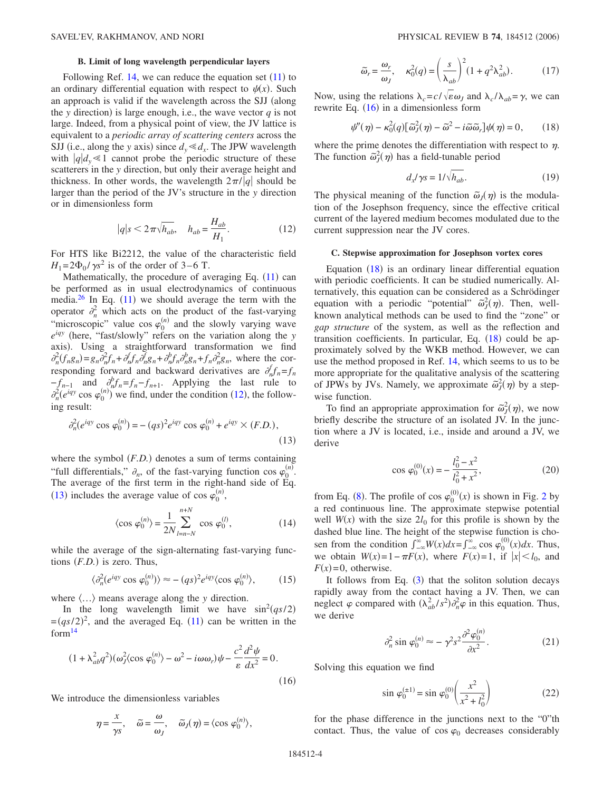## **B. Limit of long wavelength perpendicular layers**

Following Ref.  $14$ , we can reduce the equation set  $(11)$  $(11)$  $(11)$  to an ordinary differential equation with respect to  $\psi(x)$ . Such an approach is valid if the wavelength across the SJJ (along the *y* direction) is large enough, i.e., the wave vector  $q$  is not large. Indeed, from a physical point of view, the JV lattice is equivalent to a *periodic array of scattering centers* across the SJJ (i.e., along the *y* axis) since  $d_y \le d_x$ . The JPW wavelength with  $|q|d_y \le 1$  cannot probe the periodic structure of these scatterers in the *y* direction, but only their average height and thickness. In other words, the wavelength  $2\pi/|q|$  should be larger than the period of the JV's structure in the *y* direction or in dimensionless form

$$
|q|s \le 2\pi\sqrt{h_{ab}}, \quad h_{ab} = \frac{H_{ab}}{H_1}.\tag{12}
$$

<span id="page-3-0"></span>For HTS like Bi2212, the value of the characteristic field  $H_1 = 2\Phi_0 / \gamma s^2$  is of the order of 3–6 T.

Mathematically, the procedure of averaging Eq. ([11](#page-2-5)) can be performed as in usual electrodynamics of continuous media. $26$  In Eq. ([11](#page-2-5)) we should average the term with the operator  $\partial_n^2$  which acts on the product of the fast-varying "microscopic" value cos  $\varphi_0^{(n)}$  and the slowly varying wave  $e^{iqy}$  (here, "fast/slowly" refers on the variation along the *y* axis). Using a straightforward transformation we find  $\partial_n^2(f_n g_n) = g_n \partial_n^2 f_n + \partial_n^f f_n \partial_n^f g_n + \partial_n^b f_n \partial_n^b g_n + f_n \partial_n^2 g_n$ , where the corresponding forward and backward derivatives are  $\partial_n^f f_n = f_n$  $-f_{n-1}$  and  $\partial_n^b f_n = f_n - f_{n+1}$ . Applying the last rule to  $\partial_n^2(e^{iqy}\cos\varphi_0^{(n)})$  we find, under the condition ([12](#page-3-0)), the following result:

<span id="page-3-1"></span>
$$
\partial_n^2 (e^{iqy} \cos \varphi_0^{(n)}) = -(qs)^2 e^{iqy} \cos \varphi_0^{(n)} + e^{iqy} \times (F.D.),
$$
\n(13)

where the symbol  $(F.D.)$  denotes a sum of terms containing "full differentials,"  $\partial_n$ , of the fast-varying function cos  $\varphi_0^{(n)}$ . The average of the first term in the right-hand side of Eq. ([13](#page-3-1)) includes the average value of cos  $\varphi_0^{(n)}$ ,

$$
\langle \cos \varphi_0^{(n)} \rangle = \frac{1}{2N} \sum_{l=n-N}^{n+N} \cos \varphi_0^{(l)},
$$
 (14)

while the average of the sign-alternating fast-varying functions  $(F.D.)$  is zero. Thus,

$$
\langle \partial_n^2 (e^{iqy} \cos \varphi_0^{(n)}) \rangle \approx - (qs)^2 e^{iqy} \langle \cos \varphi_0^{(n)} \rangle, \tag{15}
$$

where  $\langle \ldots \rangle$  means average along the *y* direction.

In the long wavelength limit we have  $\sin^2(qs/2)$  $=(qs/2)^2$ , and the averaged Eq. ([11](#page-2-5)) can be written in the for[m14](#page-10-9)

<span id="page-3-2"></span>
$$
(1 + \lambda_{ab}^2 q^2)(\omega_j^2 \langle \cos \varphi_0^{(n)} \rangle - \omega^2 - i\omega \omega_r)\psi - \frac{c^2}{\varepsilon} \frac{d^2 \psi}{dx^2} = 0.
$$
\n(16)

We introduce the dimensionless variables

$$
\eta = \frac{x}{\gamma s}, \quad \widetilde{\omega} = \frac{\omega}{\omega_J}, \quad \widetilde{\omega}_J(\eta) = \langle \cos \varphi_0^{(n)} \rangle,
$$

$$
\widetilde{\omega}_r = \frac{\omega_r}{\omega_J}, \quad \kappa_0^2(q) = \left(\frac{s}{\lambda_{ab}}\right)^2 (1 + q^2 \lambda_{ab}^2). \tag{17}
$$

Now, using the relations  $\lambda_c = c / \sqrt{\epsilon \omega_J}$  and  $\lambda_c / \lambda_{ab} = \gamma$ , we can rewrite Eq.  $(16)$  $(16)$  $(16)$  in a dimensionless form

$$
\psi''(\eta) - \kappa_0^2(q) [\tilde{\omega}_j^2(\eta) - \tilde{\omega}^2 - i \tilde{\omega} \tilde{\omega}_r] \psi(\eta) = 0, \qquad (18)
$$

<span id="page-3-3"></span>where the prime denotes the differentiation with respect to  $\eta$ . The function  $\tilde{\omega}_j^2(\eta)$  has a field-tunable period

$$
d_x/\gamma s = 1/\sqrt{h_{ab}}.\tag{19}
$$

The physical meaning of the function  $\tilde{\omega}_j(\eta)$  is the modulation of the Josephson frequency, since the effective critical current of the layered medium becomes modulated due to the current suppression near the JV cores.

## **C. Stepwise approximation for Josephson vortex cores**

Equation  $(18)$  $(18)$  $(18)$  is an ordinary linear differential equation with periodic coefficients. It can be studied numerically. Alternatively, this equation can be considered as a Schrödinger equation with a periodic "potential"  $\tilde{\omega}_j^2(\eta)$ . Then, wellknown analytical methods can be used to find the "zone" or *gap structure* of the system, as well as the reflection and transition coefficients. In particular, Eq. ([18](#page-3-3)) could be approximately solved by the WKB method. However, we can use the method proposed in Ref. [14,](#page-10-9) which seems to us to be more appropriate for the qualitative analysis of the scattering of JPWs by JVs. Namely, we approximate  $\tilde{\omega}_j^2(\eta)$  by a stepwise function.

To find an appropriate approximation for  $\tilde{\omega}_j^2(\eta)$ , we now briefly describe the structure of an isolated JV. In the junction where a JV is located, i.e., inside and around a JV, we derive

$$
\cos \varphi_0^{(0)}(x) = -\frac{l_0^2 - x^2}{l_0^2 + x^2},\tag{20}
$$

from Eq. ([8](#page-2-6)). The profile of cos  $\varphi_0^{(0)}(x)$  is shown in Fig. [2](#page-4-0) by a red continuous line. The approximate stepwise potential well  $W(x)$  with the size  $2l_0$  for this profile is shown by the dashed blue line. The height of the stepwise function is chosen from the condition  $\int_{-\infty}^{\infty} W(x) dx = \int_{-\infty}^{\infty} \cos \varphi_0^{(0)}(x) dx$ . Thus, we obtain  $W(x)=1-\pi F(x)$ , where  $F(x)=1$ , if  $|x|< l_0$ , and  $F(x)=0$ , otherwise.

It follows from Eq.  $(3)$  $(3)$  $(3)$  that the soliton solution decays rapidly away from the contact having a JV. Then, we can neglect  $\varphi$  compared with  $(\lambda_{ab}^2 / s^2) \partial_n^2 \varphi$  in this equation. Thus, we derive

$$
\partial_n^2 \sin \varphi_0^{(n)} \approx -\gamma^2 s^2 \frac{\partial^2 \varphi_0^{(n)}}{\partial x^2}.
$$
 (21)

Solving this equation we find

$$
\sin \varphi_0^{(\pm 1)} = \sin \varphi_0^{(0)} \left( \frac{x^2}{x^2 + l_0^2} \right) \tag{22}
$$

for the phase difference in the junctions next to the "0"th contact. Thus, the value of cos  $\varphi_0$  decreases considerably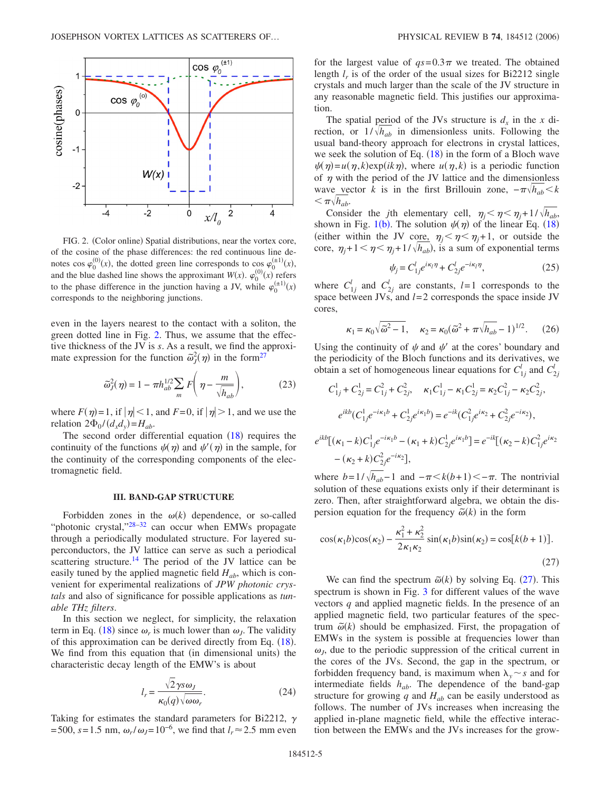<span id="page-4-0"></span>

FIG. 2. (Color online) Spatial distributions, near the vortex core, of the cosine of the phase differences: the red continuous line denotes cos  $\varphi_0^{(0)}(x)$ , the dotted green line corresponds to cos  $\varphi_0^{(\pm 1)}(x)$ , and the blue dashed line shows the approximant  $W(x)$ .  $\varphi_0^{(0)}(x)$  refers to the phase difference in the junction having a JV, while  $\varphi_0^{(\pm 1)}(x)$ corresponds to the neighboring junctions.

even in the layers nearest to the contact with a soliton, the green dotted line in Fig. [2.](#page-4-0) Thus, we assume that the effective thickness of the JV is *s*. As a result, we find the approximate expression for the function  $\tilde{\omega}_j^2(\eta)$  in the form<sup>27</sup>

$$
\tilde{\omega}_J^2(\eta) = 1 - \pi h_{ab}^{1/2} \sum_m F\left(\eta - \frac{m}{\sqrt{h_{ab}}}\right),\tag{23}
$$

<span id="page-4-4"></span>where  $F(\eta)=1$ , if  $|\eta|<1$ , and  $F=0$ , if  $|\eta|>1$ , and we use the relation  $2\Phi_0/(d_x d_y) = H_{ab}$ .

The second order differential equation  $(18)$  $(18)$  $(18)$  requires the continuity of the functions  $\psi(\eta)$  and  $\psi'(\eta)$  in the sample, for the continuity of the corresponding components of the electromagnetic field.

## **III. BAND-GAP STRUCTURE**

Forbidden zones in the  $\omega(k)$  dependence, or so-called "photonic crystal,"28-[32](#page-11-6) can occur when EMWs propagate through a periodically modulated structure. For layered superconductors, the JV lattice can serve as such a periodical scattering structure.<sup>14</sup> The period of the JV lattice can be easily tuned by the applied magnetic field  $H_{ab}$ , which is convenient for experimental realizations of *JPW photonic crystals* and also of significance for possible applications as *tunable THz filters*.

In this section we neglect, for simplicity, the relaxation term in Eq. ([18](#page-3-3)) since  $\omega_r$  is much lower than  $\omega_J$ . The validity of this approximation can be derived directly from Eq. ([18](#page-3-3)). We find from this equation that (in dimensional units) the characteristic decay length of the EMW's is about

$$
l_r = \frac{\sqrt{2}\,\gamma s \omega_J}{\kappa_0(q)\sqrt{\omega \omega_r}}.\tag{24}
$$

Taking for estimates the standard parameters for Bi2212,  $\gamma$ =500, *s*=1.5 nm,  $ω_r/ω_1 = 10^{-6}$ , we find that  $l_r ≈ 2.5$  mm even for the largest value of  $qs=0.3\pi$  we treated. The obtained length  $l_r$  is of the order of the usual sizes for Bi2212 single crystals and much larger than the scale of the JV structure in any reasonable magnetic field. This justifies our approximation.

The spatial period of the JVs structure is  $d_x$  in the x direction, or  $1/\sqrt{h_{ab}}$  in dimensionless units. Following the usual band-theory approach for electrons in crystal lattices, we seek the solution of Eq.  $(18)$  $(18)$  $(18)$  in the form of a Bloch wave  $\psi(\eta) = u(\eta, k) \exp(ik\eta)$ , where  $u(\eta, k)$  is a periodic function of  $\eta$  with the period of the JV lattice and the dimensionless wave vector *k* is in the first Brillouin zone,  $-\pi \sqrt{h_{ab}} < k$  $<\pi \sqrt{h_{ab}}$ .

Consider the *j*th elementary cell,  $\eta_j < \eta < \eta_j + 1/\sqrt{h_{ab}}$ , shown in Fig. [1](#page-1-1)(b). The solution  $\psi(\eta)$  of the linear Eq. ([18](#page-3-3)) (either within the JV core,  $\eta_i < \eta < \eta_j+1$ , or outside the core,  $\eta_j+1<\eta<\eta_j+1/\sqrt{h_{ab}}$ ), is a sum of exponential terms

$$
\psi_j = C_{1j}^l e^{i\kappa_l \eta} + C_{2j}^l e^{-i\kappa_l \eta},\tag{25}
$$

<span id="page-4-3"></span>where  $C_{1j}^l$  and  $C_{2j}^l$  are constants,  $l=1$  corresponds to the space between JVs, and *l*=2 corresponds the space inside JV cores,

$$
\kappa_1 = \kappa_0 \sqrt{\tilde{\omega}^2 - 1}, \quad \kappa_2 = \kappa_0 (\tilde{\omega}^2 + \pi \sqrt{h_{ab}} - 1)^{1/2}.
$$
 (26)

<span id="page-4-2"></span>Using the continuity of  $\psi$  and  $\psi'$  at the cores' boundary and the periodicity of the Bloch functions and its derivatives, we obtain a set of homogeneous linear equations for  $C_{1j}^l$  and  $C_{2j}^l$ 

$$
C_{1j}^{1} + C_{2j}^{1} = C_{1j}^{2} + C_{2j}^{2}, \quad \kappa_{1}C_{1j}^{1} - \kappa_{1}C_{2j}^{1} = \kappa_{2}C_{1j}^{2} - \kappa_{2}C_{2j}^{2},
$$
\n
$$
e^{ikb}(C_{1j}^{1}e^{-i\kappa_{1}b} + C_{2j}^{1}e^{i\kappa_{1}b}) = e^{-ik}(C_{1j}^{2}e^{i\kappa_{2}} + C_{2j}^{2}e^{-i\kappa_{2}}),
$$
\n
$$
e^{ikb}[(\kappa_{1} - k)C_{1j}^{1}e^{-i\kappa_{1}b} - (\kappa_{1} + k)C_{2j}^{1}e^{i\kappa_{1}b}] = e^{-ik}[(\kappa_{2} - k)C_{1j}^{2}e^{i\kappa_{2}} - (\kappa_{2} + k)C_{2j}^{2}e^{-i\kappa_{2}}],
$$

where  $b=1/\sqrt{h_{ab}}-1$  and  $-\pi < k(b+1)< -\pi$ . The nontrivial solution of these equations exists only if their determinant is zero. Then, after straightforward algebra, we obtain the dispersion equation for the frequency  $\tilde{\omega}(k)$  in the form

<span id="page-4-1"></span>
$$
\cos(\kappa_1 b)\cos(\kappa_2) - \frac{\kappa_1^2 + \kappa_2^2}{2\kappa_1 \kappa_2} \sin(\kappa_1 b)\sin(\kappa_2) = \cos[k(b+1)].
$$
\n(27)

We can find the spectrum  $\tilde{\omega}(k)$  by solving Eq. ([27](#page-4-1)). This spectrum is shown in Fig. [3](#page-5-0) for different values of the wave vectors *q* and applied magnetic fields. In the presence of an applied magnetic field, two particular features of the spectrum  $\tilde{\omega}(k)$  should be emphasized. First, the propagation of EMWs in the system is possible at frequencies lower than  $\omega$ <sub>*l*</sub>, due to the periodic suppression of the critical current in the cores of the JVs. Second, the gap in the spectrum, or forbidden frequency band, is maximum when  $\lambda$ <sup>*v*</sup> *s* and for intermediate fields *hab*. The dependence of the band-gap structure for growing  $q$  and  $H_{ab}$  can be easily understood as follows. The number of JVs increases when increasing the applied in-plane magnetic field, while the effective interaction between the EMWs and the JVs increases for the grow-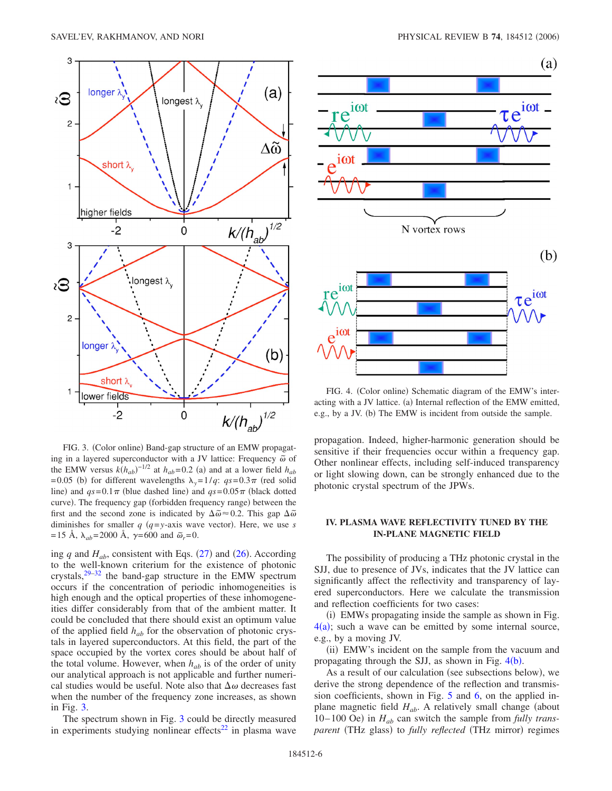<span id="page-5-0"></span>

FIG. 3. (Color online) Band-gap structure of an EMW propagating in a layered superconductor with a JV lattice: Frequency  $\tilde{\omega}$  of the EMW versus  $k(h_{ab})^{-1/2}$  at  $h_{ab}=0.2$  (a) and at a lower field  $h_{ab}$ =0.05 (b) for different wavelengths  $\lambda_y = 1/q$ :  $qs = 0.3 \pi$  (red solid line) and  $qs=0.1\pi$  (blue dashed line) and  $qs=0.05\pi$  (black dotted curve). The frequency gap (forbidden frequency range) between the first and the second zone is indicated by  $\Delta\tilde{\omega} \approx 0.2$ . This gap  $\Delta\tilde{\omega}$ diminishes for smaller  $q$  ( $q = y$ -axis wave vector). Here, we use *s* =15 Å,  $\lambda_{ab}$ =2000 Å,  $\gamma$ =600 and  $\tilde{\omega}_r$ =0.

ing  $q$  and  $H_{ab}$ , consistent with Eqs. ([27](#page-4-1)) and ([26](#page-4-2)). According to the well-known criterium for the existence of photonic crystals, $29-32$  $29-32$  the band-gap structure in the EMW spectrum occurs if the concentration of periodic inhomogeneities is high enough and the optical properties of these inhomogeneities differ considerably from that of the ambient matter. It could be concluded that there should exist an optimum value of the applied field *hab* for the observation of photonic crystals in layered superconductors. At this field, the part of the space occupied by the vortex cores should be about half of the total volume. However, when  $h_{ab}$  is of the order of unity our analytical approach is not applicable and further numerical studies would be useful. Note also that  $\Delta\omega$  decreases fast when the number of the frequency zone increases, as shown in Fig. [3.](#page-5-0)

The spectrum shown in Fig. [3](#page-5-0) could be directly measured in experiments studying nonlinear effects $^{22}$  in plasma wave

<span id="page-5-1"></span>

FIG. 4. (Color online) Schematic diagram of the EMW's interacting with a JV lattice. (a) Internal reflection of the EMW emitted, e.g., by a JV. (b) The EMW is incident from outside the sample.

propagation. Indeed, higher-harmonic generation should be sensitive if their frequencies occur within a frequency gap. Other nonlinear effects, including self-induced transparency or light slowing down, can be strongly enhanced due to the photonic crystal spectrum of the JPWs.

# **IV. PLASMA WAVE REFLECTIVITY TUNED BY THE IN-PLANE MAGNETIC FIELD**

The possibility of producing a THz photonic crystal in the SJJ, due to presence of JVs, indicates that the JV lattice can significantly affect the reflectivity and transparency of layered superconductors. Here we calculate the transmission and reflection coefficients for two cases:

(i) EMWs propagating inside the sample as shown in Fig.  $4(a)$  $4(a)$ ; such a wave can be emitted by some internal source, e.g., by a moving JV.

(ii) EMW's incident on the sample from the vacuum and propagating through the SJJ, as shown in Fig.  $4(b)$  $4(b)$ .

As a result of our calculation (see subsections below), we derive the strong dependence of the reflection and transmission coefficients, shown in Fig. [5](#page-6-0) and [6,](#page-6-1) on the applied inplane magnetic field  $H_{ab}$ . A relatively small change (about 10–100 Oe) in  $H_{ab}$  can switch the sample from *fully trans*parent (THz glass) to *fully reflected* (THz mirror) regimes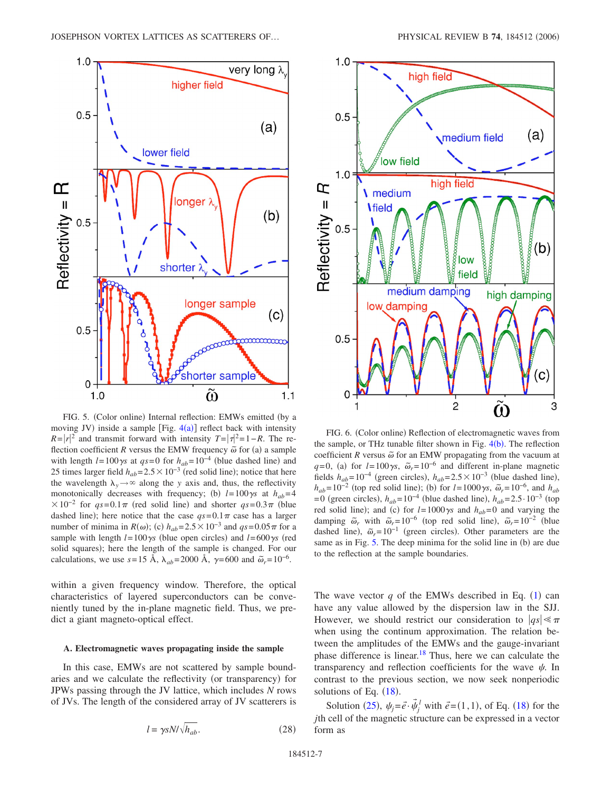<span id="page-6-0"></span>

FIG. 5. (Color online) Internal reflection: EMWs emitted (by a moving JV) inside a sample [Fig.  $4(a)$  $4(a)$ ] reflect back with intensity  $R = |r|^2$  and transmit forward with intensity  $T = |\tau|^2 = 1 - R$ . The reflection coefficient *R* versus the EMW frequency  $\tilde{\omega}$  for (a) a sample with length  $l = 100\gamma s$  at  $qs = 0$  for  $h_{ab} = 10^{-4}$  (blue dashed line) and 25 times larger field  $h_{ab} = 2.5 \times 10^{-3}$  (red solid line); notice that here the wavelength  $\lambda_y \rightarrow \infty$  along the *y* axis and, thus, the reflectivity monotonically decreases with frequency; (b)  $l=100\gamma s$  at  $h_{ab}=4$  $\times 10^{-2}$  for  $qs=0.1\pi$  (red solid line) and shorter  $qs=0.3\pi$  (blue dashed line); here notice that the case  $qs=0.1\pi$  case has a larger number of minima in  $R(\omega)$ ; (c)  $h_{ab} = 2.5 \times 10^{-3}$  and  $qs = 0.05 \pi$  for a sample with length  $l = 100\gamma s$  (blue open circles) and  $l = 600\gamma s$  (red solid squares); here the length of the sample is changed. For our calculations, we use  $s=15$  Å,  $\lambda_{ab}=2000$  Å,  $\gamma=600$  and  $\tilde{\omega}_r=10^{-6}$ .

within a given frequency window. Therefore, the optical characteristics of layered superconductors can be conveniently tuned by the in-plane magnetic field. Thus, we predict a giant magneto-optical effect.

## **A. Electromagnetic waves propagating inside the sample**

In this case, EMWs are not scattered by sample boundaries and we calculate the reflectivity (or transparency) for JPWs passing through the JV lattice, which includes *N* rows of JVs. The length of the considered array of JV scatterers is

<span id="page-6-1"></span>

FIG. 6. (Color online) Reflection of electromagnetic waves from the sample, or THz tunable filter shown in Fig.  $4(b)$  $4(b)$ . The reflection coefficient  $R$  versus  $\tilde{\omega}$  for an EMW propagating from the vacuum at  $q=0$ , (a) for  $l=100\gamma s$ ,  $\tilde{\omega}_r=10^{-6}$  and different in-plane magnetic fields  $h_{ab} = 10^{-4}$  (green circles),  $h_{ab} = 2.5 \times 10^{-3}$  (blue dashed line),  $h_{ab} = 10^{-2}$  (top red solid line); (b) for  $l = 1000\gamma s$ ,  $\tilde{\omega}_r = 10^{-6}$ , and  $h_{ab}$  $= 0$  (green circles),  $h_{ab} = 10^{-4}$  (blue dashed line),  $h_{ab} = 2.5 \cdot 10^{-3}$  (top red solid line); and (c) for  $l=1000\gamma s$  and  $h_{ab}=0$  and varying the damping  $\tilde{\omega}_r$  with  $\tilde{\omega}_r = 10^{-6}$  (top red solid line),  $\tilde{\omega}_r = 10^{-2}$  (blue dashed line),  $\tilde{\omega}_r = 10^{-1}$  (green circles). Other parameters are the same as in Fig. [5.](#page-6-0) The deep minima for the solid line in (b) are due to the reflection at the sample boundaries.

The wave vector  $q$  of the EMWs described in Eq.  $(1)$  $(1)$  $(1)$  can have any value allowed by the dispersion law in the SJJ. However, we should restrict our consideration to  $|qs| \leq \pi$ when using the continum approximation. The relation between the amplitudes of the EMWs and the gauge-invariant phase difference is linear.<sup>18</sup> Thus, here we can calculate the transparency and reflection coefficients for the wave  $\psi$ . In contrast to the previous section, we now seek nonperiodic solutions of Eq.  $(18)$  $(18)$  $(18)$ .

Solution ([25](#page-4-3)),  $\psi_j = \vec{e} \cdot \vec{\psi}_j^l$  with  $\vec{e} = (1,1)$ , of Eq. ([18](#page-3-3)) for the *j*th cell of the magnetic structure can be expressed in a vector form as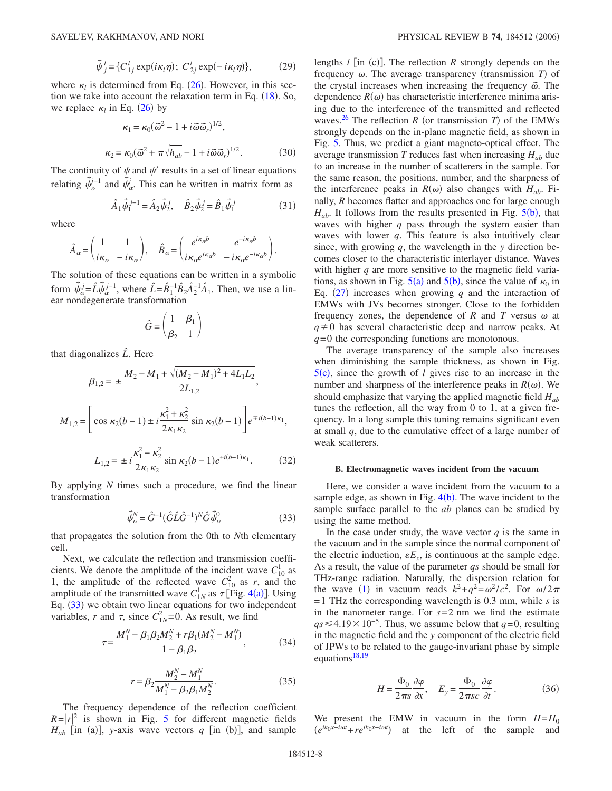$$
\vec{\psi}_j^l = \{ C_{1j}^l \exp(i\kappa_l \eta); C_{2j}^l \exp(-i\kappa_l \eta) \},\qquad(29)
$$

<span id="page-7-2"></span>where  $\kappa_l$  is determined from Eq. ([26](#page-4-2)). However, in this section we take into account the relaxation term in Eq.  $(18)$  $(18)$  $(18)$ . So, we replace  $\kappa_l$  in Eq. ([26](#page-4-2)) by

$$
\kappa_1 = \kappa_0 (\tilde{\omega}^2 - 1 + i \tilde{\omega} \tilde{\omega}_r)^{1/2},
$$
  

$$
\kappa_2 = \kappa_0 (\tilde{\omega}^2 + \pi \sqrt{h_{ab}} - 1 + i \tilde{\omega} \tilde{\omega}_r)^{1/2}.
$$
 (30)

The continuity of  $\psi$  and  $\psi'$  results in a set of linear equations relating  $\vec{\psi}_{\alpha}^{\dagger-1}$  and  $\vec{\psi}_{\alpha}$ . This can be written in matrix form as

$$
\hat{A}_1 \vec{\psi}_1^{j-1} = \hat{A}_2 \vec{\psi}_2^j, \quad \hat{B}_2 \vec{\psi}_2^j = \hat{B}_1 \vec{\psi}_1^j \tag{31}
$$

where

$$
\hat{A}_{\alpha} = \begin{pmatrix} 1 & 1 \\ i\kappa_{\alpha} & -i\kappa_{\alpha} \end{pmatrix}, \quad \hat{B}_{\alpha} = \begin{pmatrix} e^{i\kappa_{\alpha}b} & e^{-i\kappa_{\alpha}b} \\ i\kappa_{\alpha}e^{i\kappa_{\alpha}b} & -i\kappa_{\alpha}e^{-i\kappa_{\alpha}b} \end{pmatrix}.
$$

The solution of these equations can be written in a symbolic form  $\vec{\psi}_{\alpha}^j = \hat{L} \vec{\psi}_{\alpha}^{j-1}$ , where  $\hat{L} = \hat{B}_1^{-1} \hat{B}_2 \hat{A}_2^{-1} \hat{A}_1$ . Then, we use a linear nondegenerate transformation

$$
\hat{G} = \begin{pmatrix} 1 & \beta_1 \\ \beta_2 & 1 \end{pmatrix}
$$

that diagonalizes *L ˆ*. Here

<span id="page-7-3"></span>
$$
\beta_{1,2} = \pm \frac{M_2 - M_1 + \sqrt{(M_2 - M_1)^2 + 4L_1L_2}}{2L_{1,2}},
$$
  

$$
M_{1,2} = \left[\cos \kappa_2(b-1) \pm i \frac{\kappa_1^2 + \kappa_2^2}{2\kappa_1\kappa_2} \sin \kappa_2(b-1)\right] e^{\mp i(b-1)\kappa_1},
$$
  

$$
L_{1,2} = \pm i \frac{\kappa_1^2 - \kappa_2^2}{2\kappa_1\kappa_2} \sin \kappa_2(b-1) e^{\pm i(b-1)\kappa_1}.
$$
 (32)

By applying *N* times such a procedure, we find the linear transformation

$$
\vec{\psi}_{\alpha}^{N} = \hat{G}^{-1} (\hat{G} \hat{L} \hat{G}^{-1})^{N} \hat{G} \vec{\psi}_{\alpha}^{0}
$$
 (33)

<span id="page-7-0"></span>that propagates the solution from the 0th to *N*th elementary cell.

Next, we calculate the reflection and transmission coefficients. We denote the amplitude of the incident wave  $C_{10}^1$  as 1, the amplitude of the reflected wave  $C_{10}^2$  as *r*, and the amplitude of the transmitted wave  $C_{1N}^1$  as  $\tau$  [Fig. [4](#page-5-1)(a)]. Using Eq. ([33](#page-7-0)) we obtain two linear equations for two independent variables, *r* and  $\tau$ , since  $C_{1N}^2 = 0$ . As result, we find

<span id="page-7-1"></span>
$$
\tau = \frac{M_1^N - \beta_1 \beta_2 M_2^N + r \beta_1 (M_2^N - M_1^N)}{1 - \beta_1 \beta_2},\tag{34}
$$

$$
r = \beta_2 \frac{M_2^N - M_1^N}{M_1^N - \beta_2 \beta_1 M_2^N}.
$$
 (35)

The frequency dependence of the reflection coefficient  $R = |r|^2$  is shown in Fig. [5](#page-6-0) for different magnetic fields  $H_{ab}$  [in (a)], y-axis wave vectors *q* [in (b)], and sample

lengths  $l$  [in (c)]. The reflection  $R$  strongly depends on the frequency  $\omega$ . The average transparency (transmission  $T$ ) of the crystal increases when increasing the frequency  $\tilde{\omega}$ . The dependence  $R(\omega)$  has characteristic interference minima arising due to the interference of the transmitted and reflected waves.<sup>26</sup> The reflection *R* (or transmission *T*) of the EMWs strongly depends on the in-plane magnetic field, as shown in Fig. [5.](#page-6-0) Thus, we predict a giant magneto-optical effect. The average transmission  $T$  reduces fast when increasing  $H_{ab}$  due to an increase in the number of scatterers in the sample. For the same reason, the positions, number, and the sharpness of the interference peaks in  $R(\omega)$  also changes with  $H_{ab}$ . Finally, *R* becomes flatter and approaches one for large enough  $H_{ab}$ . It follows from the results presented in Fig.  $5(b)$  $5(b)$ , that waves with higher *q* pass through the system easier than waves with lower *q*. This feature is also intuitively clear since, with growing *q*, the wavelength in the *y* direction becomes closer to the characteristic interlayer distance. Waves with higher *q* are more sensitive to the magnetic field variations, as shown in Fig.  $5(a)$  $5(a)$  and  $5(b)$ , since the value of  $\kappa_0$  in Eq.  $(27)$  $(27)$  $(27)$  increases when growing *q* and the interaction of EMWs with JVs becomes stronger. Close to the forbidden frequency zones, the dependence of *R* and *T* versus  $\omega$  at  $q \neq 0$  has several characteristic deep and narrow peaks. At *q*=0 the corresponding functions are monotonous.

The average transparency of the sample also increases when diminishing the sample thickness, as shown in Fig.  $5(c)$  $5(c)$ , since the growth of *l* gives rise to an increase in the number and sharpness of the interference peaks in  $R(\omega)$ . We should emphasize that varying the applied magnetic field *Hab* tunes the reflection, all the way from 0 to 1, at a given frequency. In a long sample this tuning remains significant even at small *q*, due to the cumulative effect of a large number of weak scatterers.

#### **B. Electromagnetic waves incident from the vacuum**

Here, we consider a wave incident from the vacuum to a sample edge, as shown in Fig.  $4(b)$  $4(b)$ . The wave incident to the sample surface parallel to the *ab* planes can be studied by using the same method.

In the case under study, the wave vector  $q$  is the same in the vacuum and in the sample since the normal component of the electric induction,  $\epsilon E_x$ , is continuous at the sample edge. As a result, the value of the parameter *qs* should be small for THz-range radiation. Naturally, the dispersion relation for the wave ([1](#page-2-2)) in vacuum reads  $k^2 + q^2 = \omega^2/c^2$ . For  $\omega/2\pi$ =1 THz the corresponding wavelength is 0.3 mm, while *s* is in the nanometer range. For  $s=2$  nm we find the estimate  $qs \leq 4.19 \times 10^{-5}$ . Thus, we assume below that *q*=0, resulting in the magnetic field and the *y* component of the electric field of JPWs to be related to the gauge-invariant phase by simple equations $18,19$  $18,19$ 

$$
H = \frac{\Phi_0}{2\pi s} \frac{\partial \varphi}{\partial x}, \quad E_y = \frac{\Phi_0}{2\pi s c} \frac{\partial \varphi}{\partial t}.
$$
 (36)

We present the EMW in vacuum in the form  $H=H_0$  $(e^{ik_0x-i\omega t}+re^{ik_0x+i\omega t})$  at the left of the sample and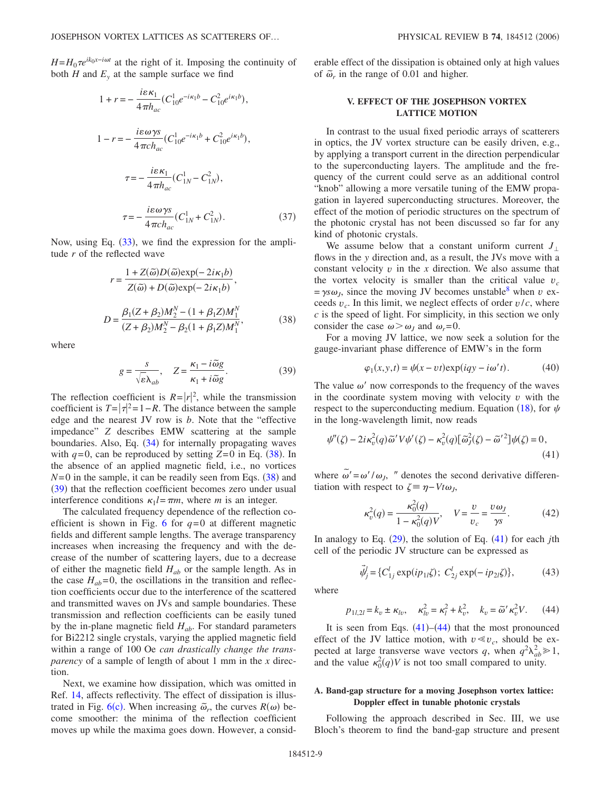$H = H_0 \tau e^{ik_0 x - i\omega t}$  at the right of it. Imposing the continuity of both *H* and  $E_y$  at the sample surface we find

$$
1 + r = -\frac{i\varepsilon\kappa_1}{4\pi h_{ac}} (C_{10}^1 e^{-i\kappa_1 b} - C_{10}^2 e^{i\kappa_1 b}),
$$
  
\n
$$
1 - r = -\frac{i\varepsilon\omega\gamma s}{4\pi c h_{ac}} (C_{10}^1 e^{-i\kappa_1 b} + C_{10}^2 e^{i\kappa_1 b}),
$$
  
\n
$$
\tau = -\frac{i\varepsilon\kappa_1}{4\pi h_{ac}} (C_{1N}^1 - C_{1N}^2),
$$
  
\n
$$
\tau = -\frac{i\varepsilon\omega\gamma s}{4\pi c h_{ac}} (C_{1N}^1 + C_{1N}^2).
$$
 (37)

<span id="page-8-0"></span>Now, using Eq. ([33](#page-7-0)), we find the expression for the amplitude *r* of the reflected wave

$$
r = \frac{1 + Z(\tilde{\omega})D(\tilde{\omega})\exp(-2i\kappa_1 b)}{Z(\tilde{\omega}) + D(\tilde{\omega})\exp(-2i\kappa_1 b)},
$$
  

$$
D = \frac{\beta_1(Z + \beta_2)M_2^N - (1 + \beta_1 Z)M_1^N}{(Z + \beta_2)M_2^N - \beta_2(1 + \beta_1 Z)M_1^N},
$$
(38)

<span id="page-8-1"></span>where

$$
g = \frac{s}{\sqrt{\varepsilon} \lambda_{ab}}, \quad Z = \frac{\kappa_1 - i \tilde{\omega} g}{\kappa_1 + i \tilde{\omega} g}.
$$
 (39)

The reflection coefficient is  $R = |r|^2$ , while the transmission coefficient is  $T = |\tau|^2 = 1 - R$ . The distance between the sample edge and the nearest JV row is *b*. Note that the "effective impedance" *Z* describes EMW scattering at the sample boundaries. Also, Eq. ([34](#page-7-1)) for internally propagating waves with  $q=0$ , can be reproduced by setting  $Z=0$  in Eq. ([38](#page-8-0)). In the absence of an applied magnetic field, i.e., no vortices  $N=0$  in the sample, it can be readily seen from Eqs.  $(38)$  $(38)$  $(38)$  and ([39](#page-8-1)) that the reflection coefficient becomes zero under usual interference conditions  $\kappa_1 l = \pi m$ , where *m* is an integer.

The calculated frequency dependence of the reflection co-efficient is shown in Fig. [6](#page-6-1) for  $q=0$  at different magnetic fields and different sample lengths. The average transparency increases when increasing the frequency and with the decrease of the number of scattering layers, due to a decrease of either the magnetic field  $H_{ab}$  or the sample length. As in the case  $H_{ab}=0$ , the oscillations in the transition and reflection coefficients occur due to the interference of the scattered and transmitted waves on JVs and sample boundaries. These transmission and reflection coefficients can be easily tuned by the in-plane magnetic field *Hab*. For standard parameters for Bi2212 single crystals, varying the applied magnetic field within a range of 100 Oe *can drastically change the transparency* of a sample of length of about 1 mm in the *x* direction.

Next, we examine how dissipation, which was omitted in Ref. [14,](#page-10-9) affects reflectivity. The effect of dissipation is illustrated in Fig.  $6(c)$  $6(c)$ . When increasing  $\tilde{\omega}_r$ , the curves  $R(\omega)$  become smoother: the minima of the reflection coefficient moves up while the maxima goes down. However, a considerable effect of the dissipation is obtained only at high values of  $\tilde{\omega}_r$  in the range of 0.01 and higher.

# **V. EFFECT OF THE JOSEPHSON VORTEX LATTICE MOTION**

In contrast to the usual fixed periodic arrays of scatterers in optics, the JV vortex structure can be easily driven, e.g., by applying a transport current in the direction perpendicular to the superconducting layers. The amplitude and the frequency of the current could serve as an additional control "knob" allowing a more versatile tuning of the EMW propagation in layered superconducting structures. Moreover, the effect of the motion of periodic structures on the spectrum of the photonic crystal has not been discussed so far for any kind of photonic crystals.

We assume below that a constant uniform current  $J_{\perp}$ flows in the *y* direction and, as a result, the JVs move with a constant velocity  $v$  in the  $x$  direction. We also assume that the vortex velocity is smaller than the critical value  $v_c$  $= \gamma s \omega_J$ , since the moving JV becomes unstable<sup>8</sup> when *v* exceeds  $v_c$ . In this limit, we neglect effects of order  $v/c$ , where *c* is the speed of light. For simplicity, in this section we only consider the case  $\omega > \omega_I$  and  $\omega_r = 0$ .

For a moving JV lattice, we now seek a solution for the gauge-invariant phase difference of EMW's in the form

$$
\varphi_1(x, y, t) = \psi(x - vt) \exp(iqy - i\omega' t). \tag{40}
$$

The value  $\omega'$  now corresponds to the frequency of the waves in the coordinate system moving with velocity *v* with the respect to the superconducting medium. Equation ([18](#page-3-3)), for  $\psi$ in the long-wavelength limit, now reads

<span id="page-8-2"></span>
$$
\psi''(\zeta) - 2i\kappa_v^2(q)\tilde{\omega}'V\psi'(\zeta) - \kappa_v^2(q)[\tilde{\omega}_J^2(\zeta) - \tilde{\omega}'^2]\psi(\zeta) = 0,
$$
\n(41)

where  $\tilde{\omega}' = \omega'/\omega_J$ , " denotes the second derivative differentiation with respect to  $\zeta = \eta - Vt\omega_I$ ,

$$
\kappa_v^2(q) = \frac{\kappa_0^2(q)}{1 - \kappa_0^2(q)V}, \quad V = \frac{v}{v_c} = \frac{v\omega_J}{\gamma s}.
$$
 (42)

In analogy to Eq. ([29](#page-7-2)), the solution of Eq. ([41](#page-8-2)) for each *j*th cell of the periodic JV structure can be expressed as

$$
\vec{\psi}_j^l = \{ C_{1j}^l \exp(ip_{1l}\zeta) ; \ C_{2j}^l \exp(-ip_{2l}\zeta) \},\tag{43}
$$

<span id="page-8-4"></span><span id="page-8-3"></span>where

$$
p_{1l,2l} = k_v \pm \kappa_{lv}, \quad \kappa_{lv}^2 = \kappa_l^2 + k_v^2, \quad k_v = \tilde{\omega}' \kappa_v^2 V. \tag{44}
$$

It is seen from Eqs.  $(41)$  $(41)$  $(41)$ – $(44)$  $(44)$  $(44)$  that the most pronounced effect of the JV lattice motion, with  $v \le v_c$ , should be expected at large transverse wave vectors q, when  $q^2 \lambda_{ab}^2 \ge 1$ , and the value  $\kappa_0^2(q) V$  is not too small compared to unity.

# **A. Band-gap structure for a moving Josephson vortex lattice: Doppler effect in tunable photonic crystals**

Following the approach described in Sec. III, we use Bloch's theorem to find the band-gap structure and present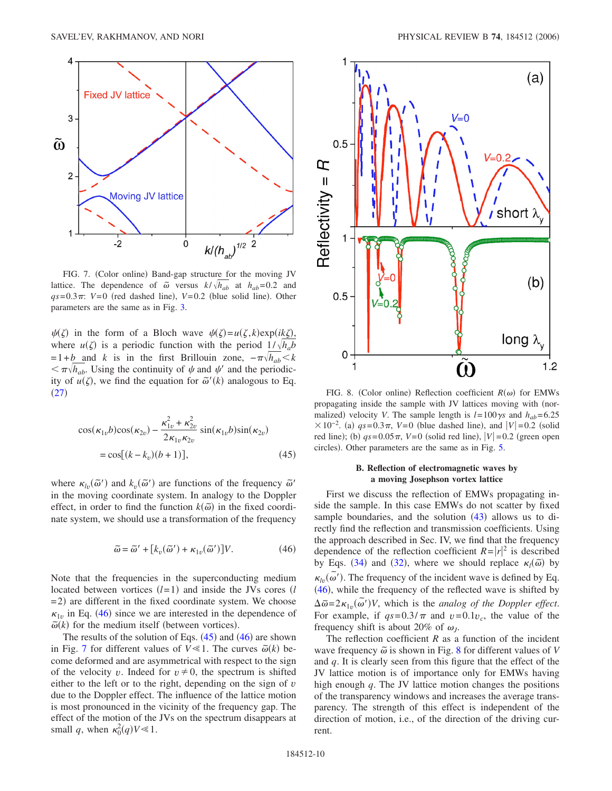<span id="page-9-2"></span>

FIG. 7. (Color online) Band-gap structure for the moving JV lattice. The dependence of  $\tilde{\omega}$  versus  $k/\sqrt{h_{ab}}$  at  $h_{ab}=0.2$  and  $qs=0.3\pi$ :  $V=0$  (red dashed line),  $V=0.2$  (blue solid line). Other parameters are the same as in Fig. [3.](#page-5-0)

 $\psi(\zeta)$  in the form of a Bloch wave  $\psi(\zeta) = u(\zeta, k) \exp(ik\zeta)$ , where  $u(\zeta)$  is a periodic function with the period  $1/\sqrt{h_a b}$  $=1+b$  and *k* is in the first Brillouin zone,  $-\pi \sqrt{h_{ab}} < k$  $\langle \pi \sqrt{h_{ab}}$ . Using the continuity of  $\psi$  and  $\psi'$  and the periodicity of  $u(\zeta)$ , we find the equation for  $\tilde{\omega}'(k)$  analogous to Eq.  $(27)$  $(27)$  $(27)$ 

<span id="page-9-1"></span>
$$
\cos(\kappa_{1v}b)\cos(\kappa_{2v}) - \frac{\kappa_{1v}^2 + \kappa_{2v}^2}{2\kappa_{1v}\kappa_{2v}} \sin(\kappa_{1v}b)\sin(\kappa_{2v})
$$
  
=  $\cos[(k - k_v)(b + 1)],$  (45)

where  $\kappa_{lv}(\tilde{\omega}')$  and  $k_{v}(\tilde{\omega}')$  are functions of the frequency  $\tilde{\omega}'$ in the moving coordinate system. In analogy to the Doppler effect, in order to find the function  $k(\tilde{\omega})$  in the fixed coordinate system, we should use a transformation of the frequency

$$
\widetilde{\omega} = \widetilde{\omega}' + [k_v(\widetilde{\omega}') + \kappa_{1v}(\widetilde{\omega}')]V. \tag{46}
$$

<span id="page-9-0"></span>Note that the frequencies in the superconducting medium located between vortices  $(l=1)$  and inside the JVs cores  $(l=1)$ = 2) are different in the fixed coordinate system. We choose  $\kappa_{1v}$  in Eq. ([46](#page-9-0)) since we are interested in the dependence of  $\tilde{\omega}(k)$  for the medium itself (between vortices).

The results of the solution of Eqs.  $(45)$  $(45)$  $(45)$  and  $(46)$  $(46)$  $(46)$  are shown in Fig. [7](#page-9-2) for different values of  $V \le 1$ . The curves  $\tilde{\omega}(k)$  become deformed and are asymmetrical with respect to the sign of the velocity *v*. Indeed for  $v \neq 0$ , the spectrum is shifted either to the left or to the right, depending on the sign of *v* due to the Doppler effect. The influence of the lattice motion is most pronounced in the vicinity of the frequency gap. The effect of the motion of the JVs on the spectrum disappears at small *q*, when  $\kappa_0^2(q) V \ll 1$ .

<span id="page-9-3"></span>

FIG. 8. (Color online) Reflection coefficient  $R(\omega)$  for EMWs propagating inside the sample with JV lattices moving with (normalized) velocity *V*. The sample length is  $l = 100\gamma s$  and  $h_{ab} = 6.25$  $× 10^{-2}$ . (a) *qs* = 0.3π, *V* = 0 (blue dashed line), and |*V*| = 0.2 (solid red line); (b)  $qs=0.05\pi$ ,  $V=0$  (solid red line),  $|V|=0.2$  (green open circles). Other parameters are the same as in Fig. [5.](#page-6-0)

# **B. Reflection of electromagnetic waves by a moving Josephson vortex lattice**

First we discuss the reflection of EMWs propagating inside the sample. In this case EMWs do not scatter by fixed sample boundaries, and the solution  $(43)$  $(43)$  $(43)$  allows us to directly find the reflection and transmission coefficients. Using the approach described in Sec. IV, we find that the frequency dependence of the reflection coefficient  $R = |r|^2$  is described by Eqs. ([34](#page-7-1)) and ([32](#page-7-3)), where we should replace  $\kappa_l(\tilde{\omega})$  by  $\kappa_{lv}(\tilde{\omega}')$ . The frequency of the incident wave is defined by Eq.  $(46)$  $(46)$  $(46)$ , while the frequency of the reflected wave is shifted by  $\Delta \tilde{\omega} = 2\kappa_{1v}(\tilde{\omega}')V$ , which is the *analog of the Doppler effect*. For example, if  $qs=0.3/\pi$  and  $v=0.1v_c$ , the value of the frequency shift is about 20% of  $\omega_I$ .

The reflection coefficient  $R$  as a function of the incident wave frequency  $\tilde{\omega}$  is shown in Fig. [8](#page-9-3) for different values of *V* and *q*. It is clearly seen from this figure that the effect of the JV lattice motion is of importance only for EMWs having high enough *q*. The JV lattice motion changes the positions of the transparency windows and increases the average transparency. The strength of this effect is independent of the direction of motion, i.e., of the direction of the driving current.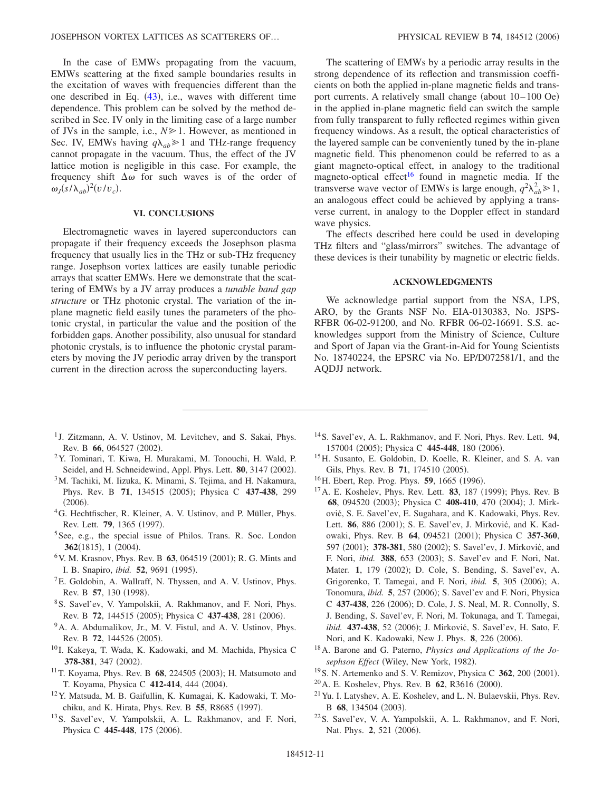In the case of EMWs propagating from the vacuum, EMWs scattering at the fixed sample boundaries results in the excitation of waves with frequencies different than the one described in Eq.  $(43)$  $(43)$  $(43)$ , i.e., waves with different time dependence. This problem can be solved by the method described in Sec. IV only in the limiting case of a large number of JVs in the sample, i.e.,  $N \ge 1$ . However, as mentioned in Sec. IV, EMWs having  $q\lambda_{ab} \ge 1$  and THz-range frequency cannot propagate in the vacuum. Thus, the effect of the JV lattice motion is negligible in this case. For example, the frequency shift  $\Delta\omega$  for such waves is of the order of  $\omega_J (s/\lambda_{ab})^2 (v/v_c)$ .

## **VI. CONCLUSIONS**

Electromagnetic waves in layered superconductors can propagate if their frequency exceeds the Josephson plasma frequency that usually lies in the THz or sub-THz frequency range. Josephson vortex lattices are easily tunable periodic arrays that scatter EMWs. Here we demonstrate that the scattering of EMWs by a JV array produces a *tunable band gap structure* or THz photonic crystal. The variation of the inplane magnetic field easily tunes the parameters of the photonic crystal, in particular the value and the position of the forbidden gaps. Another possibility, also unusual for standard photonic crystals, is to influence the photonic crystal parameters by moving the JV periodic array driven by the transport current in the direction across the superconducting layers.

The scattering of EMWs by a periodic array results in the strong dependence of its reflection and transmission coefficients on both the applied in-plane magnetic fields and transport currents. A relatively small change (about 10–100 Oe) in the applied in-plane magnetic field can switch the sample from fully transparent to fully reflected regimes within given frequency windows. As a result, the optical characteristics of the layered sample can be conveniently tuned by the in-plane magnetic field. This phenomenon could be referred to as a giant magneto-optical effect, in analogy to the traditional magneto-optical effect<sup>16</sup> found in magnetic media. If the transverse wave vector of EMWs is large enough,  $q^2 \lambda_{ab}^2 \ge 1$ , an analogous effect could be achieved by applying a transverse current, in analogy to the Doppler effect in standard wave physics.

The effects described here could be used in developing THz filters and "glass/mirrors" switches. The advantage of these devices is their tunability by magnetic or electric fields.

#### **ACKNOWLEDGMENTS**

We acknowledge partial support from the NSA, LPS, ARO, by the Grants NSF No. EIA-0130383, No. JSPS-RFBR 06-02-91200, and No. RFBR 06-02-16691. S.S. acknowledges support from the Ministry of Science, Culture and Sport of Japan via the Grant-in-Aid for Young Scientists No. 18740224, the EPSRC via No. EP/D072581/1, and the AQDJJ network.

- <span id="page-10-0"></span><sup>1</sup> J. Zitzmann, A. V. Ustinov, M. Levitchev, and S. Sakai, Phys. Rev. B 66, 064527 (2002).
- 2Y. Tominari, T. Kiwa, H. Murakami, M. Tonouchi, H. Wald, P. Seidel, and H. Schneidewind, Appl. Phys. Lett. 80, 3147 (2002).
- <span id="page-10-5"></span><sup>3</sup>M. Tachiki, M. Iizuka, K. Minami, S. Tejima, and H. Nakamura, Phys. Rev. B 71, 134515 (2005); Physica C 437-438, 299  $(2006).$
- <span id="page-10-1"></span>4G. Hechtfischer, R. Kleiner, A. V. Ustinov, and P. Müller, Phys. Rev. Lett. **79**, 1365 (1997).
- <span id="page-10-2"></span><sup>5</sup>See, e.g., the special issue of Philos. Trans. R. Soc. London **362**(1815), 1 (2004).
- <span id="page-10-3"></span><sup>6</sup> V. M. Krasnov, Phys. Rev. B 63, 064519 (2001); R. G. Mints and I. B. Snapiro, *ibid.* **52**, 9691 (1995).
- 7E. Goldobin, A. Wallraff, N. Thyssen, and A. V. Ustinov, Phys. Rev. B 57, 130 (1998).
- <span id="page-10-17"></span>8S. Savel'ev, V. Yampolskii, A. Rakhmanov, and F. Nori, Phys. Rev. B 72, 144515 (2005); Physica C 437-438, 281 (2006).
- <span id="page-10-4"></span><sup>9</sup>A. A. Abdumalikov, Jr., M. V. Fistul, and A. V. Ustinov, Phys. Rev. B 72, 144526 (2005).
- <span id="page-10-6"></span> $10$  I. Kakeya, T. Wada, K. Kadowaki, and M. Machida, Physica C 378-381, 347 (2002).
- <sup>11</sup> T. Koyama, Phys. Rev. B 68, 224505 (2003); H. Matsumoto and T. Koyama, Physica C 412-414, 444 (2004).
- <span id="page-10-7"></span>12Y. Matsuda, M. B. Gaifullin, K. Kumagai, K. Kadowaki, T. Mochiku, and K. Hirata, Phys. Rev. B 55, R8685 (1997).
- <span id="page-10-8"></span>13S. Savel'ev, V. Yampolskii, A. L. Rakhmanov, and F. Nori, Physica C 445-448, 175 (2006).
- <span id="page-10-9"></span>14S. Savel'ev, A. L. Rakhmanov, and F. Nori, Phys. Rev. Lett. **94**, 157004 (2005); Physica C 445-448, 180 (2006).
- <span id="page-10-10"></span>15H. Susanto, E. Goldobin, D. Koelle, R. Kleiner, and S. A. van Gils, Phys. Rev. B **71**, 174510 (2005).
- <span id="page-10-11"></span><sup>16</sup>H. Ebert, Rep. Prog. Phys. **59**, 1665 (1996).
- <span id="page-10-12"></span><sup>17</sup> A. E. Koshelev, Phys. Rev. Lett. **83**, 187 (1999); Phys. Rev. B 68, 094520 (2003); Physica C 408-410, 470 (2004); J. Mirković, S. E. Savel'ev, E. Sugahara, and K. Kadowaki, Phys. Rev. Lett. 86, 886 (2001); S. E. Savel'ev, J. Mirković, and K. Kadowaki, Phys. Rev. B 64, 094521 (2001); Physica C 357-360, 597 (2001); 378-381, 580 (2002); S. Savel'ev, J. Mirković, and F. Nori, *ibid.* 388, 653 (2003); S. Savel'ev and F. Nori, Nat. Mater. 1, 179 (2002); D. Cole, S. Bending, S. Savel'ev, A. Grigorenko, T. Tamegai, and F. Nori, *ibid.* 5, 305 (2006); A. Tonomura, *ibid.* 5, 257 (2006); S. Savel'ev and F. Nori, Physica C 437-438, 226 (2006); D. Cole, J. S. Neal, M. R. Connolly, S. J. Bending, S. Savel'ev, F. Nori, M. Tokunaga, and T. Tamegai, ibid. 437-438, 52 (2006); J. Mirković, S. Savel'ev, H. Sato, F. Nori, and K. Kadowaki, New J. Phys. 8, 226 (2006).
- 18A. Barone and G. Paterno, *Physics and Applications of the Jo*sephson Effect (Wiley, New York, 1982).
- <span id="page-10-13"></span><sup>19</sup> S. N. Artemenko and S. V. Remizov, Physica C 362, 200 (2001).
- <span id="page-10-14"></span><sup>20</sup> A. E. Koshelev, Phys. Rev. B **62**, R3616 (2000).
- <span id="page-10-15"></span> $21$  Yu. I. Latyshev, A. E. Koshelev, and L. N. Bulaevskii, Phys. Rev. B 68, 134504 (2003).
- <span id="page-10-16"></span>22S. Savel'ev, V. A. Yampolskii, A. L. Rakhmanov, and F. Nori, Nat. Phys. 2, 521 (2006).